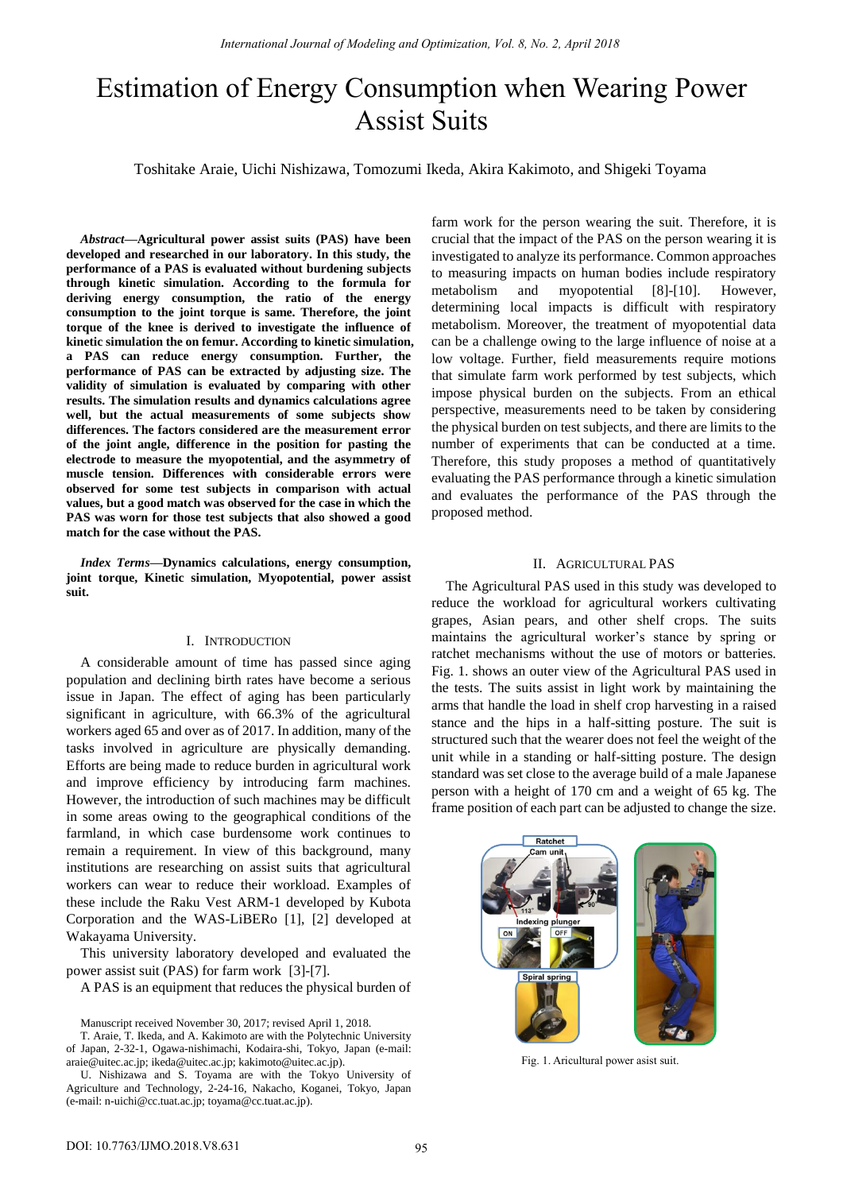# Estimation of Energy Consumption when Wearing Power Assist Suits

Toshitake Araie, Uichi Nishizawa, Tomozumi Ikeda, Akira Kakimoto, and Shigeki Toyama

*Abstract***—Agricultural power assist suits (PAS) have been developed and researched in our laboratory. In this study, the performance of a PAS is evaluated without burdening subjects through kinetic simulation. According to the formula for deriving energy consumption, the ratio of the energy consumption to the joint torque is same. Therefore, the joint torque of the knee is derived to investigate the influence of kinetic simulation the on femur. According to kinetic simulation, a PAS can reduce energy consumption. Further, the performance of PAS can be extracted by adjusting size. The validity of simulation is evaluated by comparing with other results. The simulation results and dynamics calculations agree well, but the actual measurements of some subjects show differences. The factors considered are the measurement error of the joint angle, difference in the position for pasting the electrode to measure the myopotential, and the asymmetry of muscle tension. Differences with considerable errors were observed for some test subjects in comparison with actual values, but a good match was observed for the case in which the PAS was worn for those test subjects that also showed a good match for the case without the PAS.** 

*Index Terms***—Dynamics calculations, energy consumption, joint torque, Kinetic simulation, Myopotential, power assist suit.** 

## I. INTRODUCTION

A considerable amount of time has passed since aging population and declining birth rates have become a serious issue in Japan. The effect of aging has been particularly significant in agriculture, with 66.3% of the agricultural workers aged 65 and over as of 2017. In addition, many of the tasks involved in agriculture are physically demanding. Efforts are being made to reduce burden in agricultural work and improve efficiency by introducing farm machines. However, the introduction of such machines may be difficult in some areas owing to the geographical conditions of the farmland, in which case burdensome work continues to remain a requirement. In view of this background, many institutions are researching on assist suits that agricultural workers can wear to reduce their workload. Examples of these include the Raku Vest ARM-1 developed by Kubota Corporation and the WAS-LiBERo [1], [2] developed at Wakayama University.

This university laboratory developed and evaluated the power assist suit (PAS) for farm work [3]-[7].

A PAS is an equipment that reduces the physical burden of

T. Araie, T. Ikeda, and A. Kakimoto are with the Polytechnic University of Japan, 2-32-1, Ogawa-nishimachi, Kodaira-shi, Tokyo, Japan (e-mail: araie@uitec.ac.jp; ikeda@uitec.ac.jp; kakimoto@uitec.ac.jp).

U. Nishizawa and S. Toyama are with the Tokyo University of Agriculture and Technology, 2-24-16, Nakacho, Koganei, Tokyo, Japan (e-mail: n-uichi@cc.tuat.ac.jp; toyama@cc.tuat.ac.jp).

farm work for the person wearing the suit. Therefore, it is crucial that the impact of the PAS on the person wearing it is investigated to analyze its performance. Common approaches to measuring impacts on human bodies include respiratory metabolism and myopotential [8]-[10]. However, determining local impacts is difficult with respiratory metabolism. Moreover, the treatment of myopotential data can be a challenge owing to the large influence of noise at a low voltage. Further, field measurements require motions that simulate farm work performed by test subjects, which impose physical burden on the subjects. From an ethical perspective, measurements need to be taken by considering the physical burden on test subjects, and there are limits to the number of experiments that can be conducted at a time. Therefore, this study proposes a method of quantitatively evaluating the PAS performance through a kinetic simulation and evaluates the performance of the PAS through the proposed method.

## II. AGRICULTURAL PAS

The Agricultural PAS used in this study was developed to reduce the workload for agricultural workers cultivating grapes, Asian pears, and other shelf crops. The suits maintains the agricultural worker's stance by spring or ratchet mechanisms without the use of motors or batteries. Fig. 1. shows an outer view of the Agricultural PAS used in the tests. The suits assist in light work by maintaining the arms that handle the load in shelf crop harvesting in a raised stance and the hips in a half-sitting posture. The suit is structured such that the wearer does not feel the weight of the unit while in a standing or half-sitting posture. The design standard was set close to the average build of a male Japanese person with a height of 170 cm and a weight of 65 kg. The frame position of each part can be adjusted to change the size.



Fig. 1. Aricultural power asist suit.

Manuscript received November 30, 2017; revised April 1, 2018.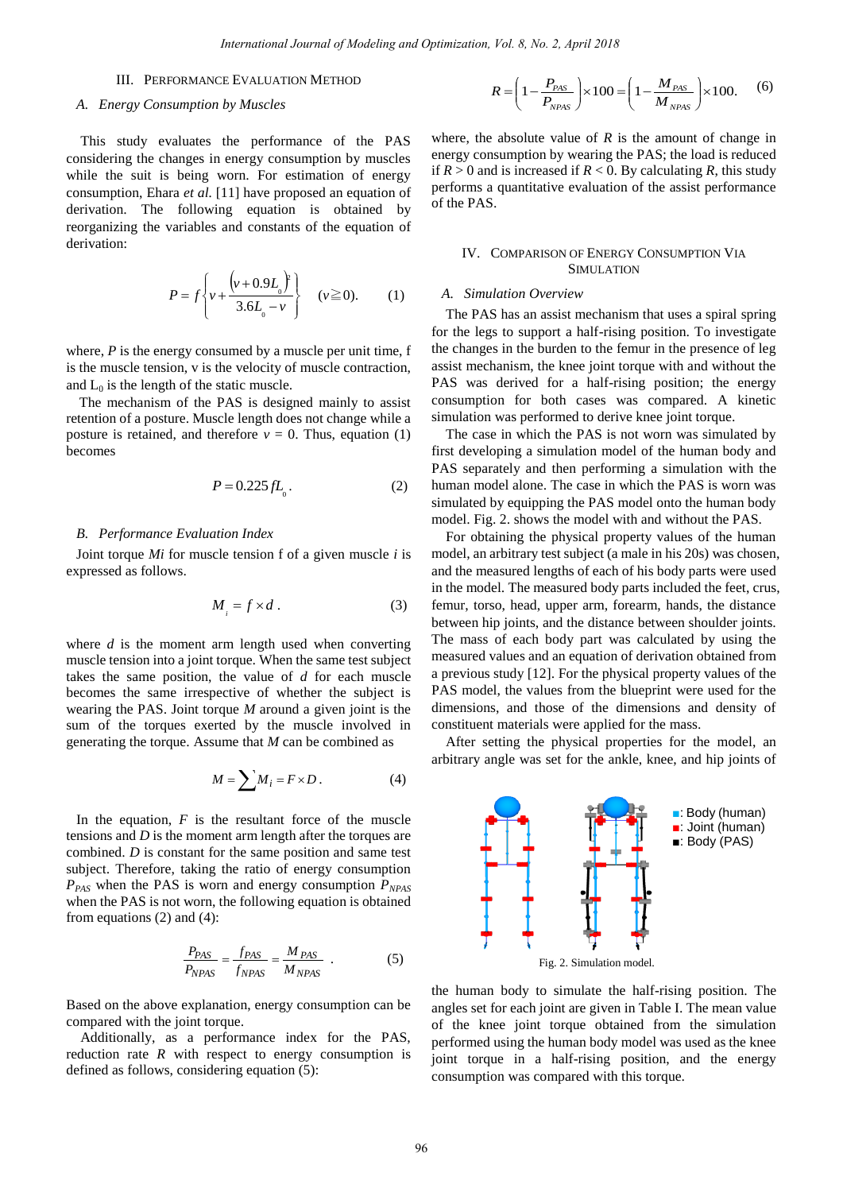#### III. PERFORMANCE EVALUATION METHOD

#### *A. Energy Consumption by Muscles*

This study evaluates the performance of the PAS considering the changes in energy consumption by muscles while the suit is being worn. For estimation of energy consumption, Ehara *et al.* [11] have proposed an equation of derivation. The following equation is obtained by reorganizing the variables and constants of the equation of derivation:

$$
P = f \left\{ v + \frac{\left( v + 0.9L_0 \right)^2}{3.6L_0 - v} \right\} \quad (v \ge 0). \tag{1}
$$

where, *P* is the energy consumed by a muscle per unit time, f is the muscle tension, v is the velocity of muscle contraction, and  $L_0$  is the length of the static muscle.

The mechanism of the PAS is designed mainly to assist retention of a posture. Muscle length does not change while a posture is retained, and therefore  $v = 0$ . Thus, equation (1) becomes

$$
P = 0.225 fLo.
$$
 (2)

#### *B. Performance Evaluation Index*

Joint torque *Mi* for muscle tension f of a given muscle *i* is expressed as follows.

$$
M_{i} = f \times d. \tag{3}
$$

where *d* is the moment arm length used when converting muscle tension into a joint torque. When the same test subject takes the same position, the value of *d* for each muscle becomes the same irrespective of whether the subject is wearing the PAS. Joint torque *M* around a given joint is the sum of the torques exerted by the muscle involved in generating the torque. Assume that *M* can be combined as

$$
M = \sum M_i = F \times D. \tag{4}
$$

In the equation,  $F$  is the resultant force of the muscle tensions and *D* is the moment arm length after the torques are combined. *D* is constant for the same position and same test subject. Therefore, taking the ratio of energy consumption *PPAS* when the PAS is worn and energy consumption *PNPAS* when the PAS is not worn, the following equation is obtained from equations (2) and (4):

$$
\frac{P_{PAS}}{P_{NPAS}} = \frac{f_{PAS}}{f_{NPAS}} = \frac{M_{PAS}}{M_{NPAS}} \tag{5}
$$

Based on the above explanation, energy consumption can be compared with the joint torque.

Additionally, as a performance index for the PAS, reduction rate  $R$  with respect to energy consumption is defined as follows, considering equation (5):

$$
R = \left(1 - \frac{P_{PAS}}{P_{NPAS}}\right) \times 100 = \left(1 - \frac{M_{PAS}}{M_{NPAS}}\right) \times 100. \tag{6}
$$

where, the absolute value of  $R$  is the amount of change in energy consumption by wearing the PAS; the load is reduced if  $R > 0$  and is increased if  $R < 0$ . By calculating R, this study performs a quantitative evaluation of the assist performance of the PAS.

#### IV. COMPARISON OF ENERGY CONSUMPTION VIA SIMULATION

### *A. Simulation Overview*

The PAS has an assist mechanism that uses a spiral spring for the legs to support a half-rising position. To investigate the changes in the burden to the femur in the presence of leg assist mechanism, the knee joint torque with and without the PAS was derived for a half-rising position; the energy consumption for both cases was compared. A kinetic simulation was performed to derive knee joint torque.

The case in which the PAS is not worn was simulated by first developing a simulation model of the human body and PAS separately and then performing a simulation with the human model alone. The case in which the PAS is worn was simulated by equipping the PAS model onto the human body model. Fig. 2. shows the model with and without the PAS.

For obtaining the physical property values of the human model, an arbitrary test subject (a male in his 20s) was chosen, and the measured lengths of each of his body parts were used in the model. The measured body parts included the feet, crus, femur, torso, head, upper arm, forearm, hands, the distance between hip joints, and the distance between shoulder joints. The mass of each body part was calculated by using the measured values and an equation of derivation obtained from a previous study [12]. For the physical property values of the PAS model, the values from the blueprint were used for the dimensions, and those of the dimensions and density of constituent materials were applied for the mass.

After setting the physical properties for the model, an arbitrary angle was set for the ankle, knee, and hip joints of



the human body to simulate the half-rising position. The angles set for each joint are given in Table I. The mean value of the knee joint torque obtained from the simulation performed using the human body model was used as the knee joint torque in a half-rising position, and the energy consumption was compared with this torque.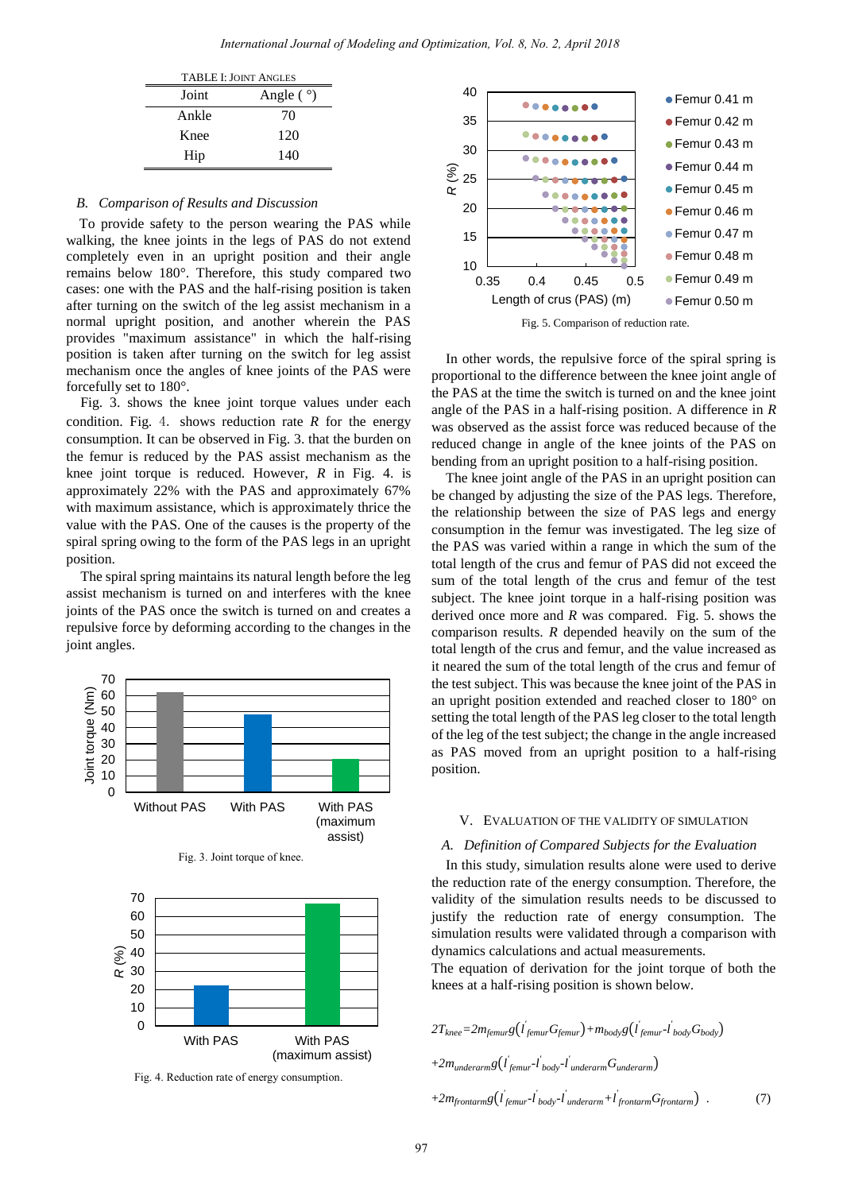| <b>TABLE I: JOINT ANGLES</b> |                  |
|------------------------------|------------------|
| Joint                        | Angle $( \gamma$ |
| Ankle                        | 70               |
| Knee                         | 120              |
| Hip                          | 140              |

## *B. Comparison of Results and Discussion*

To provide safety to the person wearing the PAS while walking, the knee joints in the legs of PAS do not extend completely even in an upright position and their angle remains below 180°. Therefore, this study compared two cases: one with the PAS and the half-rising position is taken after turning on the switch of the leg assist mechanism in a normal upright position, and another wherein the PAS provides "maximum assistance" in which the half-rising position is taken after turning on the switch for leg assist mechanism once the angles of knee joints of the PAS were forcefully set to 180°.

Fig. 3. shows the knee joint torque values under each condition. Fig. 4. shows reduction rate *R* for the energy consumption. It can be observed in Fig. 3. that the burden on the femur is reduced by the PAS assist mechanism as the knee joint torque is reduced. However, *R* in Fig. 4. is approximately 22% with the PAS and approximately 67% with maximum assistance, which is approximately thrice the value with the PAS. One of the causes is the property of the spiral spring owing to the form of the PAS legs in an upright position.

The spiral spring maintains its natural length before the legassist mechanism is turned on and interferes with the knee joints of the PAS once the switch is turned on and creates a repulsive force by deforming according to the changes in the joint angles.



Fig. 4. Reduction rate of energy consumption.



Fig. 5. Comparison of reduction rate.

In other words, the repulsive force of the spiral spring is proportional to the difference between the knee joint angle of the PAS at the time the switch is turned on and the knee joint angle of the PAS in a half-rising position. A difference in *R* was observed as the assist force was reduced because of the reduced change in angle of the knee joints of the PAS on bending from an upright position to a half-rising position.

The knee joint angle of the PAS in an upright position can be changed by adjusting the size of the PAS legs. Therefore, the relationship between the size of PAS legs and energy consumption in the femur was investigated. The leg size of the PAS was varied within a range in which the sum of the total length of the crus and femur of PAS did not exceed the sum of the total length of the crus and femur of the test subject. The knee joint torque in a half-rising position was derived once more and *R* was compared. Fig. 5. shows the comparison results. *R* depended heavily on the sum of the total length of the crus and femur, and the value increased as it neared the sum of the total length of the crus and femur of the test subject. This was because the knee joint of the PAS in an upright position extended and reached closer to 180° on setting the total length of the PAS leg closer to the total length of the leg of the test subject; the change in the angle increased as PAS moved from an upright position to a half-rising position.

#### V. EVALUATION OF THE VALIDITY OF SIMULATION

### *A. Definition of Compared Subjects for the Evaluation*

In this study, simulation results alone were used to derive the reduction rate of the energy consumption. Therefore, the validity of the simulation results needs to be discussed to justify the reduction rate of energy consumption. The simulation results were validated through a comparison with dynamics calculations and actual measurements.

The equation of derivation for the joint torque of both the knees at a half-rising position is shown below.

$$
2T_{knee} = 2m_{femur}g(l_{femur}G_{femur}) + m_{body}g(l_{femur} - l_{body}G_{body})
$$
  
+2m<sub>underarm</sub>g(l\_{femur} - l\_{body} - l'\_{underarm}G\_{underarm})  
+2m\_{frontarm}g(l\_{femur} - l'\_{body} - l'\_{underarm} + l'\_{frontarm}G\_{frontarm}) . (7)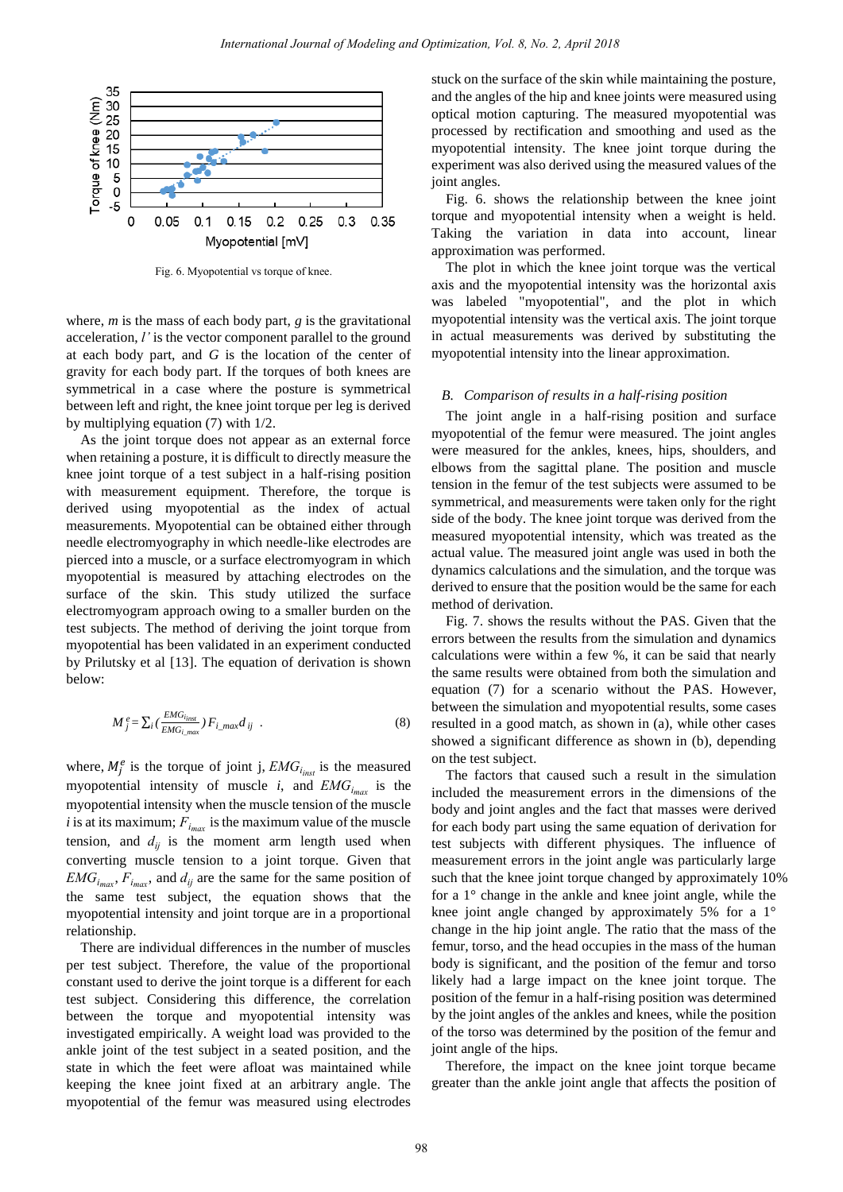

Fig. 6. Myopotential vs torque of knee.

where, *m* is the mass of each body part, *g* is the gravitational acceleration, *l'* is the vector component parallel to the ground at each body part, and *G* is the location of the center of gravity for each body part. If the torques of both knees are symmetrical in a case where the posture is symmetrical between left and right, the knee joint torque per leg is derived by multiplying equation (7) with 1/2.

As the joint torque does not appear as an external force when retaining a posture, it is difficult to directly measure the knee joint torque of a test subject in a half-rising position with measurement equipment. Therefore, the torque is derived using myopotential as the index of actual measurements. Myopotential can be obtained either through needle electromyography in which needle-like electrodes are pierced into a muscle, or a surface electromyogram in which myopotential is measured by attaching electrodes on the surface of the skin. This study utilized the surface electromyogram approach owing to a smaller burden on the test subjects. The method of deriving the joint torque from myopotential has been validated in an experiment conducted by Prilutsky et al [13]. The equation of derivation is shown below:

$$
M_j^e = \sum_i \left( \frac{EMG_{i_{inst}}}{EMG_{i_{jmax}}} \right) F_{i_{j_{jmax}}} d_{ij} . \tag{8}
$$

where,  $M_i^e$  is the torque of joint j,  $EMG_{i_{\text{max}}}$  is the measured myopotential intensity of muscle *i*, and  $EMG_{i_{\text{max}}}$  is the myopotential intensity when the muscle tension of the muscle i is at its maximum;  $F_{i_{\text{max}}}$  is the maximum value of the muscle tension, and  $d_{ii}$  is the moment arm length used when converting muscle tension to a joint torque. Given that  $EMG_{i_{\text{max}}}$ ,  $F_{i_{\text{max}}}$ , and  $d_{ij}$  are the same for the same position of the same test subject, the equation shows that the myopotential intensity and joint torque are in a proportional relationship.

There are individual differences in the number of muscles per test subject. Therefore, the value of the proportional constant used to derive the joint torque is a different for each test subject. Considering this difference, the correlation between the torque and myopotential intensity was investigated empirically. A weight load was provided to the ankle joint of the test subject in a seated position, and the state in which the feet were afloat was maintained while keeping the knee joint fixed at an arbitrary angle. The myopotential of the femur was measured using electrodes stuck on the surface of the skin while maintaining the posture, and the angles of the hip and knee joints were measured using optical motion capturing. The measured myopotential was processed by rectification and smoothing and used as the myopotential intensity. The knee joint torque during the experiment was also derived using the measured values of the joint angles.

Fig. 6. shows the relationship between the knee joint torque and myopotential intensity when a weight is held. Taking the variation in data into account, linear approximation was performed.

The plot in which the knee joint torque was the vertical axis and the myopotential intensity was the horizontal axis was labeled "myopotential", and the plot in which myopotential intensity was the vertical axis. The joint torque in actual measurements was derived by substituting the myopotential intensity into the linear approximation.

#### *B. Comparison of results in a half-rising position*

The joint angle in a half-rising position and surface myopotential of the femur were measured. The joint angles were measured for the ankles, knees, hips, shoulders, and elbows from the sagittal plane. The position and muscle tension in the femur of the test subjects were assumed to be symmetrical, and measurements were taken only for the right side of the body. The knee joint torque was derived from the measured myopotential intensity, which was treated as the actual value. The measured joint angle was used in both the dynamics calculations and the simulation, and the torque was derived to ensure that the position would be the same for each method of derivation.

Fig. 7. shows the results without the PAS. Given that the errors between the results from the simulation and dynamics calculations were within a few %, it can be said that nearly the same results were obtained from both the simulation and equation (7) for a scenario without the PAS. However, between the simulation and myopotential results, some cases resulted in a good match, as shown in (a), while other cases showed a significant difference as shown in (b), depending on the test subject.

The factors that caused such a result in the simulation included the measurement errors in the dimensions of the body and joint angles and the fact that masses were derived for each body part using the same equation of derivation for test subjects with different physiques. The influence of measurement errors in the joint angle was particularly large such that the knee joint torque changed by approximately 10% for a 1° change in the ankle and knee joint angle, while the knee joint angle changed by approximately 5% for a 1° change in the hip joint angle. The ratio that the mass of the femur, torso, and the head occupies in the mass of the human body is significant, and the position of the femur and torso likely had a large impact on the knee joint torque. The position of the femur in a half-rising position was determined by the joint angles of the ankles and knees, while the position of the torso was determined by the position of the femur and joint angle of the hips.

Therefore, the impact on the knee joint torque became greater than the ankle joint angle that affects the position of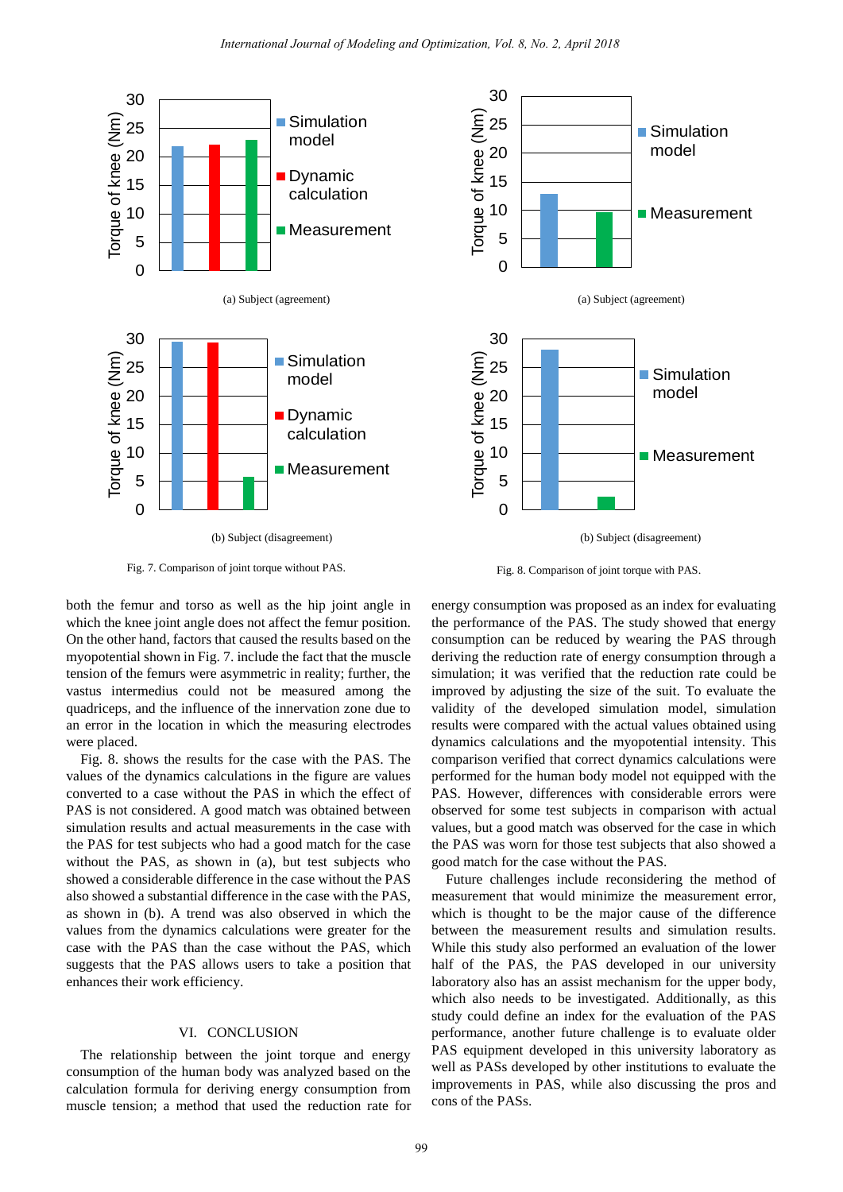



Fig. 7. Comparison of joint torque without PAS.

both the femur and torso as well as the hip joint angle in which the knee joint angle does not affect the femur position. On the other hand, factors that caused the results based on the myopotential shown in Fig. 7. include the fact that the muscle tension of the femurs were asymmetric in reality; further, the vastus intermedius could not be measured among the quadriceps, and the influence of the innervation zone due to an error in the location in which the measuring electrodes were placed.

Fig. 8. shows the results for the case with the PAS. The values of the dynamics calculations in the figure are values converted to a case without the PAS in which the effect of PAS is not considered. A good match was obtained between simulation results and actual measurements in the case with the PAS for test subjects who had a good match for the case without the PAS, as shown in (a), but test subjects who showed a considerable difference in the case without the PAS also showed a substantial difference in the case with the PAS, as shown in (b). A trend was also observed in which the values from the dynamics calculations were greater for the case with the PAS than the case without the PAS, which suggests that the PAS allows users to take a position that enhances their work efficiency.

### VI. CONCLUSION

The relationship between the joint torque and energy consumption of the human body was analyzed based on the calculation formula for deriving energy consumption from muscle tension; a method that used the reduction rate for

Fig. 8. Comparison of joint torque with PAS.

energy consumption was proposed as an index for evaluating the performance of the PAS. The study showed that energy consumption can be reduced by wearing the PAS through deriving the reduction rate of energy consumption through a simulation; it was verified that the reduction rate could be improved by adjusting the size of the suit. To evaluate the validity of the developed simulation model, simulation results were compared with the actual values obtained using dynamics calculations and the myopotential intensity. This comparison verified that correct dynamics calculations were performed for the human body model not equipped with the PAS. However, differences with considerable errors were observed for some test subjects in comparison with actual values, but a good match was observed for the case in which the PAS was worn for those test subjects that also showed a good match for the case without the PAS.

Future challenges include reconsidering the method of measurement that would minimize the measurement error, which is thought to be the major cause of the difference between the measurement results and simulation results. While this study also performed an evaluation of the lower half of the PAS, the PAS developed in our university laboratory also has an assist mechanism for the upper body, which also needs to be investigated. Additionally, as this study could define an index for the evaluation of the PAS performance, another future challenge is to evaluate older PAS equipment developed in this university laboratory as well as PASs developed by other institutions to evaluate the improvements in PAS, while also discussing the pros and cons of the PASs.